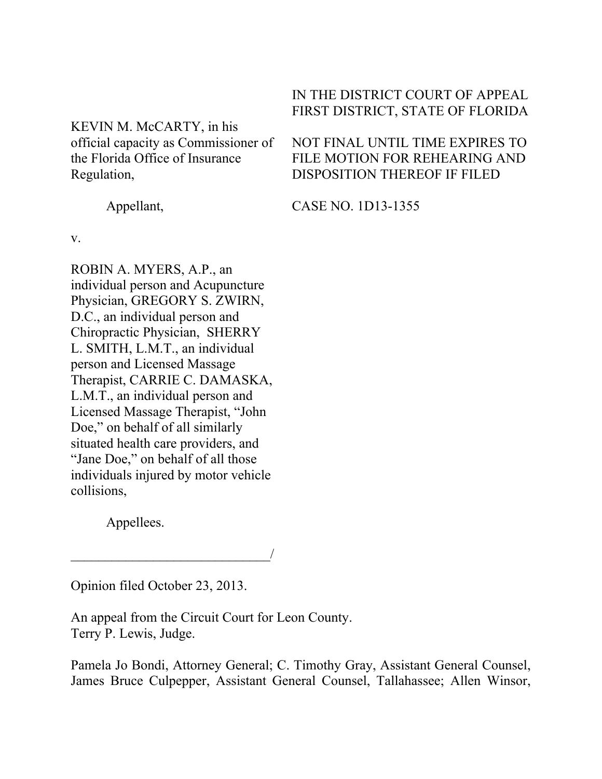## KEVIN M. McCARTY, in his official capacity as Commissioner of the Florida Office of Insurance Regulation,

# IN THE DISTRICT COURT OF APPEAL FIRST DISTRICT, STATE OF FLORIDA

NOT FINAL UNTIL TIME EXPIRES TO FILE MOTION FOR REHEARING AND DISPOSITION THEREOF IF FILED

CASE NO. 1D13-1355

Appellant,

v.

ROBIN A. MYERS, A.P., an individual person and Acupuncture Physician, GREGORY S. ZWIRN, D.C., an individual person and Chiropractic Physician, SHERRY L. SMITH, L.M.T., an individual person and Licensed Massage Therapist, CARRIE C. DAMASKA, L.M.T., an individual person and Licensed Massage Therapist, "John Doe," on behalf of all similarly situated health care providers, and "Jane Doe," on behalf of all those individuals injured by motor vehicle collisions,

Appellees.

Opinion filed October 23, 2013.

\_\_\_\_\_\_\_\_\_\_\_\_\_\_\_\_\_\_\_\_\_\_\_\_\_\_\_\_\_/

An appeal from the Circuit Court for Leon County. Terry P. Lewis, Judge.

Pamela Jo Bondi, Attorney General; C. Timothy Gray, Assistant General Counsel, James Bruce Culpepper, Assistant General Counsel, Tallahassee; Allen Winsor,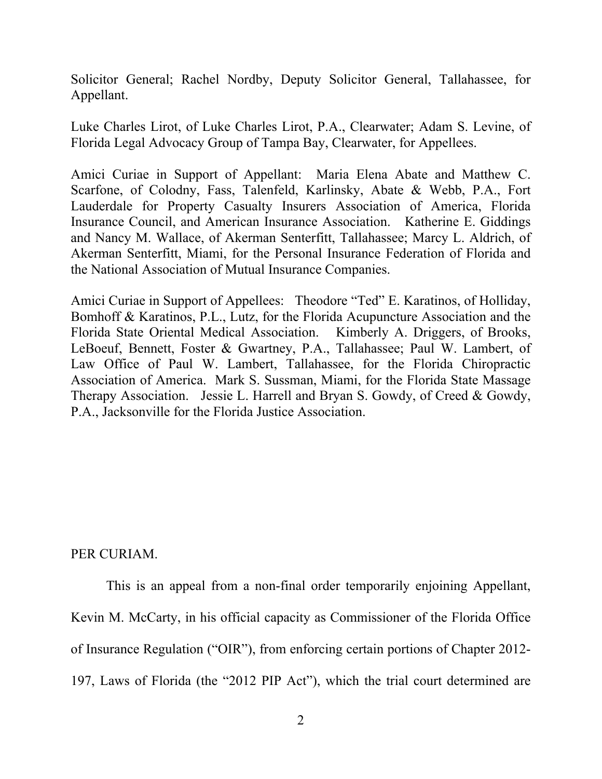Solicitor General; Rachel Nordby, Deputy Solicitor General, Tallahassee, for Appellant.

Luke Charles Lirot, of Luke Charles Lirot, P.A., Clearwater; Adam S. Levine, of Florida Legal Advocacy Group of Tampa Bay, Clearwater, for Appellees.

Amici Curiae in Support of Appellant: Maria Elena Abate and Matthew C. Scarfone, of Colodny, Fass, Talenfeld, Karlinsky, Abate & Webb, P.A., Fort Lauderdale for Property Casualty Insurers Association of America, Florida Insurance Council, and American Insurance Association. Katherine E. Giddings and Nancy M. Wallace, of Akerman Senterfitt, Tallahassee; Marcy L. Aldrich, of Akerman Senterfitt, Miami, for the Personal Insurance Federation of Florida and the National Association of Mutual Insurance Companies.

Amici Curiae in Support of Appellees: Theodore "Ted" E. Karatinos, of Holliday, Bomhoff & Karatinos, P.L., Lutz, for the Florida Acupuncture Association and the Florida State Oriental Medical Association. Kimberly A. Driggers, of Brooks, LeBoeuf, Bennett, Foster & Gwartney, P.A., Tallahassee; Paul W. Lambert, of Law Office of Paul W. Lambert, Tallahassee, for the Florida Chiropractic Association of America. Mark S. Sussman, Miami, for the Florida State Massage Therapy Association. Jessie L. Harrell and Bryan S. Gowdy, of Creed & Gowdy, P.A., Jacksonville for the Florida Justice Association.

PER CURIAM.

This is an appeal from a non-final order temporarily enjoining Appellant, Kevin M. McCarty, in his official capacity as Commissioner of the Florida Office of Insurance Regulation ("OIR"), from enforcing certain portions of Chapter 2012- 197, Laws of Florida (the "2012 PIP Act"), which the trial court determined are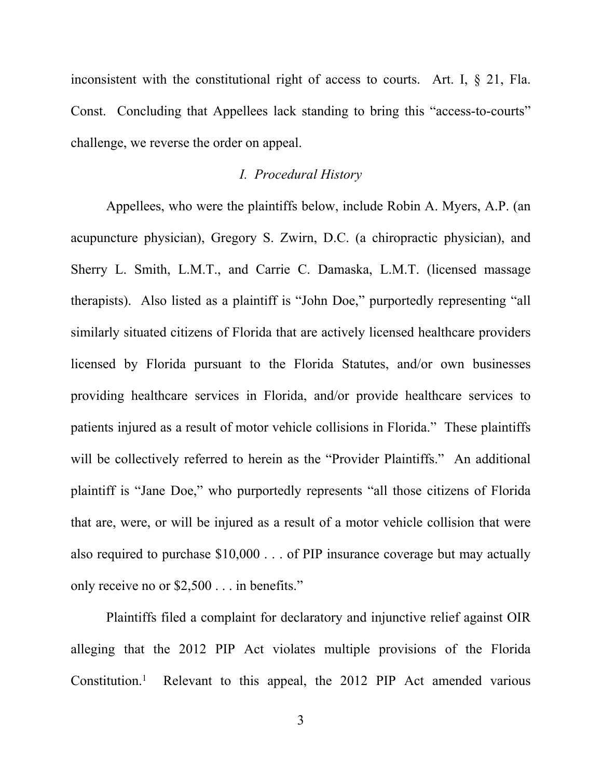inconsistent with the constitutional right of access to courts. Art. I, § 21, Fla. Const. Concluding that Appellees lack standing to bring this "access-to-courts" challenge, we reverse the order on appeal.

#### *I. Procedural History*

Appellees, who were the plaintiffs below, include Robin A. Myers, A.P. (an acupuncture physician), Gregory S. Zwirn, D.C. (a chiropractic physician), and Sherry L. Smith, L.M.T., and Carrie C. Damaska, L.M.T. (licensed massage therapists). Also listed as a plaintiff is "John Doe," purportedly representing "all similarly situated citizens of Florida that are actively licensed healthcare providers licensed by Florida pursuant to the Florida Statutes, and/or own businesses providing healthcare services in Florida, and/or provide healthcare services to patients injured as a result of motor vehicle collisions in Florida." These plaintiffs will be collectively referred to herein as the "Provider Plaintiffs." An additional plaintiff is "Jane Doe," who purportedly represents "all those citizens of Florida that are, were, or will be injured as a result of a motor vehicle collision that were also required to purchase \$10,000 . . . of PIP insurance coverage but may actually only receive no or \$2,500 . . . in benefits."

Plaintiffs filed a complaint for declaratory and injunctive relief against OIR alleging that the 2012 PIP Act violates multiple provisions of the Florida Constitution.<sup>1</sup> Relevant to this appeal, the 2012 PIP Act amended various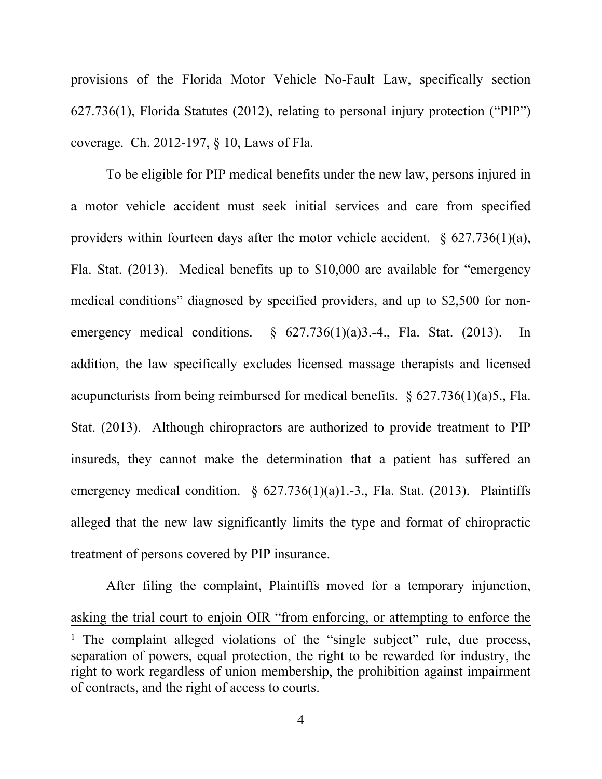provisions of the Florida Motor Vehicle No-Fault Law, specifically section 627.736(1), Florida Statutes (2012), relating to personal injury protection ("PIP") coverage. Ch. 2012-197, § 10, Laws of Fla.

To be eligible for PIP medical benefits under the new law, persons injured in a motor vehicle accident must seek initial services and care from specified providers within fourteen days after the motor vehicle accident.  $\S$  627.736(1)(a), Fla. Stat. (2013). Medical benefits up to \$10,000 are available for "emergency medical conditions" diagnosed by specified providers, and up to \$2,500 for nonemergency medical conditions.  $\S$  627.736(1)(a)3.-4., Fla. Stat. (2013). In addition, the law specifically excludes licensed massage therapists and licensed acupuncturists from being reimbursed for medical benefits. § 627.736(1)(a)5., Fla. Stat. (2013). Although chiropractors are authorized to provide treatment to PIP insureds, they cannot make the determination that a patient has suffered an emergency medical condition.  $\S$  627.736(1)(a)1.-3., Fla. Stat. (2013). Plaintiffs alleged that the new law significantly limits the type and format of chiropractic treatment of persons covered by PIP insurance.

After filing the complaint, Plaintiffs moved for a temporary injunction, asking the trial court to enjoin OIR "from enforcing, or attempting to enforce the <sup>1</sup> The complaint alleged violations of the "single subject" rule, due process, separation of powers, equal protection, the right to be rewarded for industry, the right to work regardless of union membership, the prohibition against impairment of contracts, and the right of access to courts.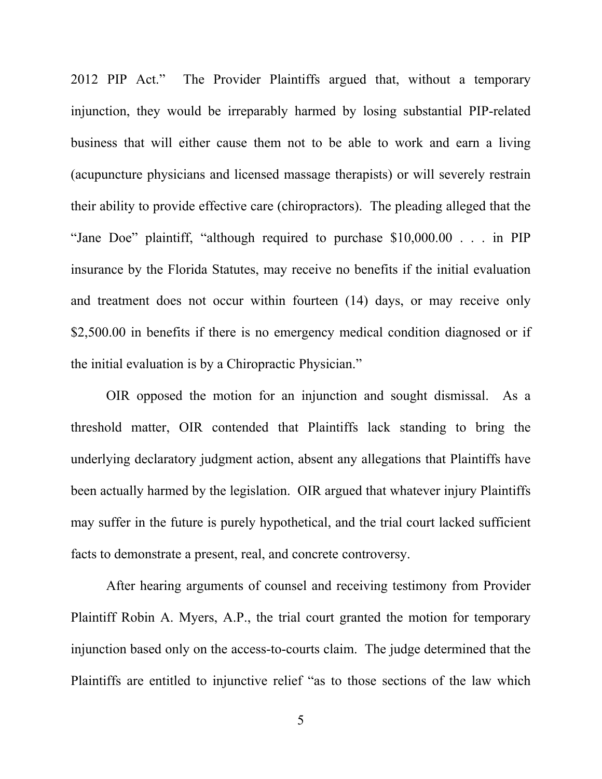2012 PIP Act." The Provider Plaintiffs argued that, without a temporary injunction, they would be irreparably harmed by losing substantial PIP-related business that will either cause them not to be able to work and earn a living (acupuncture physicians and licensed massage therapists) or will severely restrain their ability to provide effective care (chiropractors). The pleading alleged that the "Jane Doe" plaintiff, "although required to purchase \$10,000.00 . . . in PIP insurance by the Florida Statutes, may receive no benefits if the initial evaluation and treatment does not occur within fourteen (14) days, or may receive only \$2,500.00 in benefits if there is no emergency medical condition diagnosed or if the initial evaluation is by a Chiropractic Physician."

OIR opposed the motion for an injunction and sought dismissal. As a threshold matter, OIR contended that Plaintiffs lack standing to bring the underlying declaratory judgment action, absent any allegations that Plaintiffs have been actually harmed by the legislation. OIR argued that whatever injury Plaintiffs may suffer in the future is purely hypothetical, and the trial court lacked sufficient facts to demonstrate a present, real, and concrete controversy.

After hearing arguments of counsel and receiving testimony from Provider Plaintiff Robin A. Myers, A.P., the trial court granted the motion for temporary injunction based only on the access-to-courts claim. The judge determined that the Plaintiffs are entitled to injunctive relief "as to those sections of the law which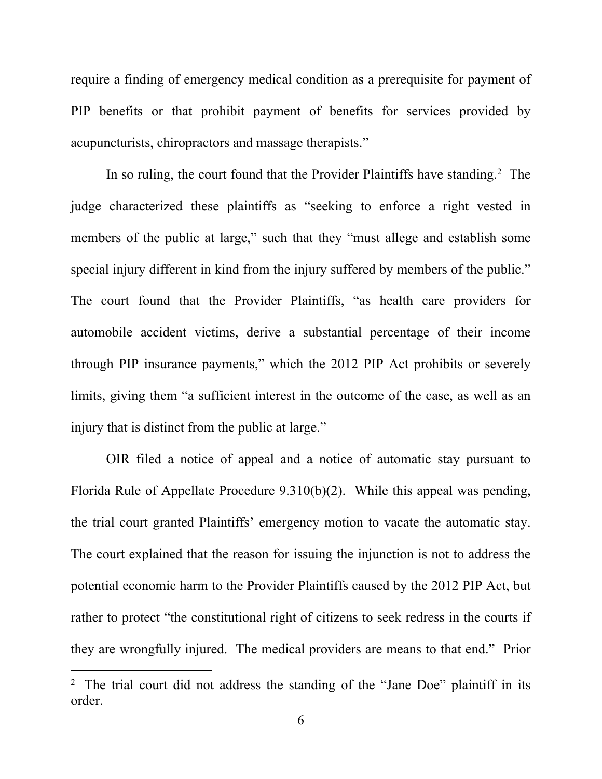require a finding of emergency medical condition as a prerequisite for payment of PIP benefits or that prohibit payment of benefits for services provided by acupuncturists, chiropractors and massage therapists."

In so ruling, the court found that the Provider Plaintiffs have standing.<sup>2</sup> The judge characterized these plaintiffs as "seeking to enforce a right vested in members of the public at large," such that they "must allege and establish some special injury different in kind from the injury suffered by members of the public." The court found that the Provider Plaintiffs, "as health care providers for automobile accident victims, derive a substantial percentage of their income through PIP insurance payments," which the 2012 PIP Act prohibits or severely limits, giving them "a sufficient interest in the outcome of the case, as well as an injury that is distinct from the public at large."

OIR filed a notice of appeal and a notice of automatic stay pursuant to Florida Rule of Appellate Procedure 9.310(b)(2). While this appeal was pending, the trial court granted Plaintiffs' emergency motion to vacate the automatic stay. The court explained that the reason for issuing the injunction is not to address the potential economic harm to the Provider Plaintiffs caused by the 2012 PIP Act, but rather to protect "the constitutional right of citizens to seek redress in the courts if they are wrongfully injured. The medical providers are means to that end." Prior

<sup>&</sup>lt;sup>2</sup> The trial court did not address the standing of the "Jane Doe" plaintiff in its order.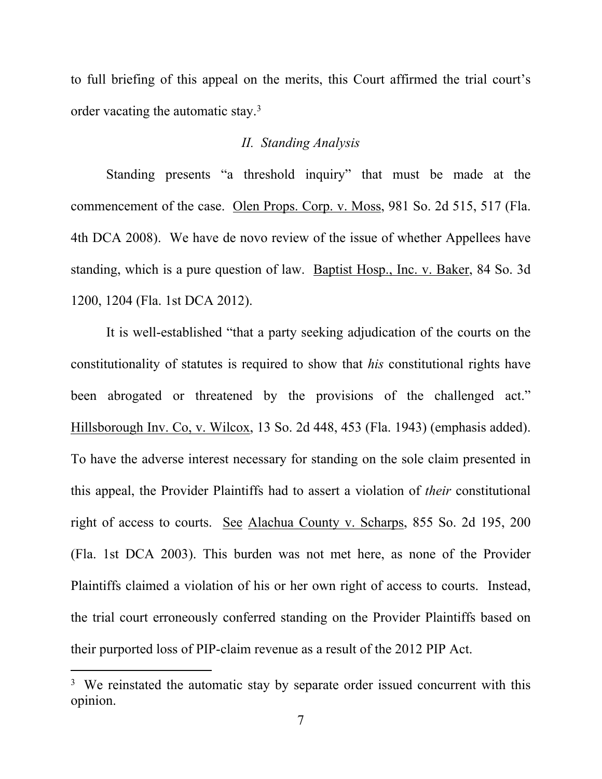to full briefing of this appeal on the merits, this Court affirmed the trial court's order vacating the automatic stay.<sup>3</sup>

### *II. Standing Analysis*

Standing presents "a threshold inquiry" that must be made at the commencement of the case. Olen Props. Corp. v. Moss, 981 So. 2d 515, 517 (Fla. 4th DCA 2008). We have de novo review of the issue of whether Appellees have standing, which is a pure question of law. Baptist Hosp., Inc. v. Baker, 84 So. 3d 1200, 1204 (Fla. 1st DCA 2012).

It is well-established "that a party seeking adjudication of the courts on the constitutionality of statutes is required to show that *his* constitutional rights have been abrogated or threatened by the provisions of the challenged act." Hillsborough Inv. Co, v. Wilcox, 13 So. 2d 448, 453 (Fla. 1943) (emphasis added). To have the adverse interest necessary for standing on the sole claim presented in this appeal, the Provider Plaintiffs had to assert a violation of *their* constitutional right of access to courts. See Alachua County v. Scharps, 855 So. 2d 195, 200 (Fla. 1st DCA 2003). This burden was not met here, as none of the Provider Plaintiffs claimed a violation of his or her own right of access to courts. Instead, the trial court erroneously conferred standing on the Provider Plaintiffs based on their purported loss of PIP-claim revenue as a result of the 2012 PIP Act.

<sup>&</sup>lt;sup>3</sup> We reinstated the automatic stay by separate order issued concurrent with this opinion.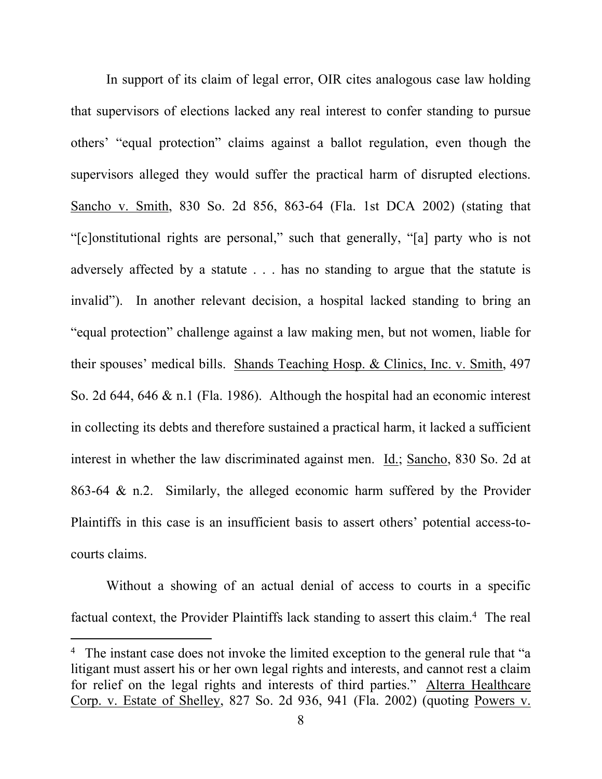In support of its claim of legal error, OIR cites analogous case law holding that supervisors of elections lacked any real interest to confer standing to pursue others' "equal protection" claims against a ballot regulation, even though the supervisors alleged they would suffer the practical harm of disrupted elections. Sancho v. Smith, 830 So. 2d 856, 863-64 (Fla. 1st DCA 2002) (stating that "[c]onstitutional rights are personal," such that generally, "[a] party who is not adversely affected by a statute . . . has no standing to argue that the statute is invalid"). In another relevant decision, a hospital lacked standing to bring an "equal protection" challenge against a law making men, but not women, liable for their spouses' medical bills. Shands Teaching Hosp. & Clinics, Inc. v. Smith, 497 So. 2d 644, 646 & n.1 (Fla. 1986). Although the hospital had an economic interest in collecting its debts and therefore sustained a practical harm, it lacked a sufficient interest in whether the law discriminated against men. Id.; Sancho, 830 So. 2d at 863-64 & n.2. Similarly, the alleged economic harm suffered by the Provider Plaintiffs in this case is an insufficient basis to assert others' potential access-tocourts claims.

Without a showing of an actual denial of access to courts in a specific factual context, the Provider Plaintiffs lack standing to assert this claim.<sup>4</sup> The real

<sup>&</sup>lt;sup>4</sup> The instant case does not invoke the limited exception to the general rule that "a litigant must assert his or her own legal rights and interests, and cannot rest a claim for relief on the legal rights and interests of third parties." Alterra Healthcare Corp. v. Estate of Shelley, 827 So. 2d 936, 941 (Fla. 2002) (quoting Powers v.